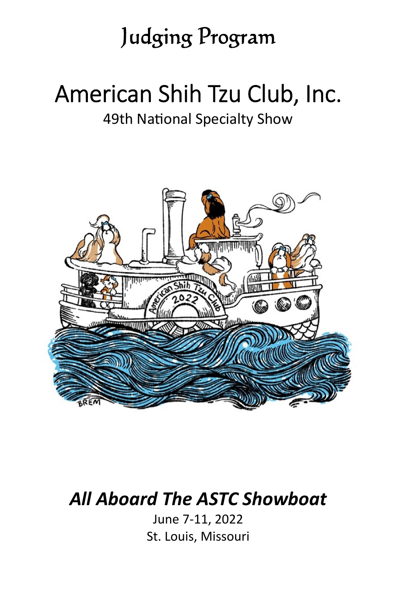## Judging Program

# American Shih Tzu Club, Inc.

### 49th National Specialty Show



## *All Aboard The ASTC Showboat*

June 7-11, 2022 St. Louis, Missouri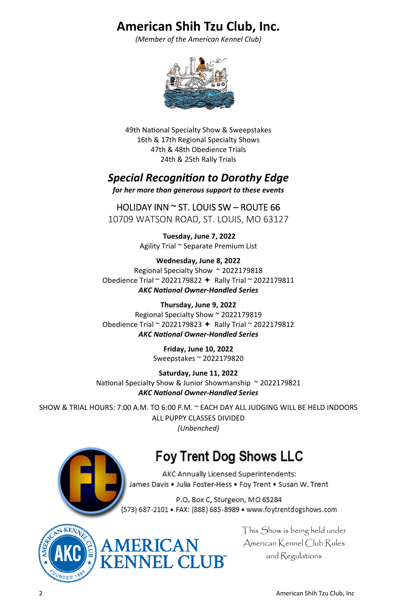### **American Shih Tzu Club, Inc.**

*(Member of the American Kennel Club)* 



49th National Specialty Show & Sweepstakes 16th & 17th Regional Specialty Shows 47th & 48th Obedience Trials 24th & 25th Rally Trials

### *Special RecogniƟon to Dorothy Edge*

*for her more than generous support to these events* 

### HOLIDAY INN  $\sim$  ST. LOUIS SW – ROUTE 66

10709 WATSON ROAD, ST. LOUIS, MO 63127

**Tuesday, June 7, 2022**  Agility Trial ~ Separate Premium List

**Wednesday, June 8, 2022**  Regional Specialty Show ~ 2022179818 Obedience Trial ~ 2022179822 Rally Trial ~ 2022179811 *AKC NaƟonal Owner-Handled Series* 

**Thursday, June 9, 2022**  Regional Specialty Show ~ 2022179819 Obedience Trial ~ 2022179823  $+$  Rally Trial ~ 2022179812 *AKC NaƟonal Owner-Handled Series* 

> **Friday, June 10, 2022**  Sweepstakes ~ 2022179820

**Saturday, June 11, 2022**  National Specialty Show & Junior Showmanship ~ 2022179821 *AKC NaƟonal Owner-Handled Series* 

SHOW & TRIAL HOURS: 7:00 A.M. TO 6:00 P.M. ~ EACH DAY ALL JUDGING WILL BE HELD INDOORS ALL PUPPY CLASSES DIVIDED *(Unbenched)*

ERICAN<br>INEL CLUB"

### **Foy Trent Dog Shows LLC**

AKC Annually Licensed Superintendents: James Davis . Julia Foster-Hess . Foy Trent . Susan W. Trent

P.O. Box C, Sturgeon, MO 65284 (573) 687-2101 · FAX: (888) 685-8989 · www.foytrentdogshows.com



This Show is being held under American Kennel Club Rules and Regulations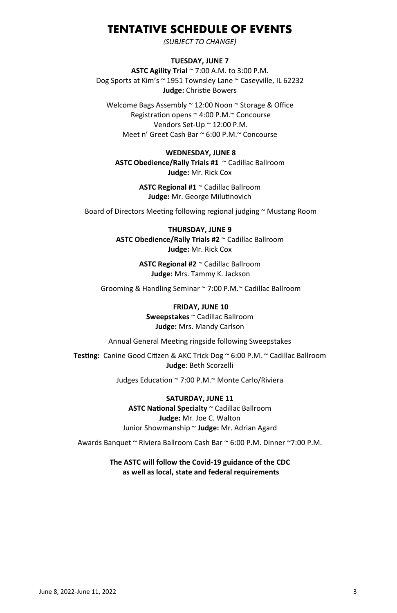### **TENTATIVE SCHEDULE OF EVENTS**

*(SUBJECT TO CHANGE)*

### **TUESDAY, JUNE 7**

**ASTC Agility Trial** ~ 7:00 A.M. to 3:00 P.M. Dog Sports at Kim's ~ 1951 Townsley Lane ~ Caseyville, IL 62232 Judge: Christie Bowers

Welcome Bags Assembly ~ 12:00 Noon ~ Storage & Office Registration opens ~ 4:00 P.M.~ Concourse Vendors Set-Up ~ 12:00 P.M. Meet n' Greet Cash Bar ~ 6:00 P.M.~ Concourse

### **WEDNESDAY, JUNE 8**

**ASTC Obedience/Rally Trials #1** ~ Cadillac Ballroom **Judge:** Mr. Rick Cox

> **ASTC Regional #1** ~ Cadillac Ballroom Judge: Mr. George Milutinovich

Board of Directors Meeting following regional judging ~ Mustang Room

### **THURSDAY, JUNE 9 ASTC Obedience/Rally Trials #2** ~ Cadillac Ballroom **Judge:** Mr. Rick Cox

**ASTC Regional #2** ~ Cadillac Ballroom **Judge:** Mrs. Tammy K. Jackson

Grooming & Handling Seminar ~ 7:00 P.M.~ Cadillac Ballroom

### **FRIDAY, JUNE 10 Sweepstakes** ~ Cadillac Ballroom **Judge:** Mrs. Mandy Carlson

Annual General Meeting ringside following Sweepstakes

**Testing:** Canine Good Citizen & AKC Trick Dog ~ 6:00 P.M. ~ Cadillac Ballroom **Judge**: Beth Scorzelli

Judges Education ~ 7:00 P.M.~ Monte Carlo/Riviera

**SATURDAY, JUNE 11 ASTC NaƟonal Specialty** ~ Cadillac Ballroom **Judge:** Mr. Joe C. Walton Junior Showmanship ~ **Judge:** Mr. Adrian Agard

Awards Banquet ~ Riviera Ballroom Cash Bar ~ 6:00 P.M. Dinner ~7:00 P.M.

**The ASTC will follow the Covid-19 guidance of the CDC as well as local, state and federal requirements**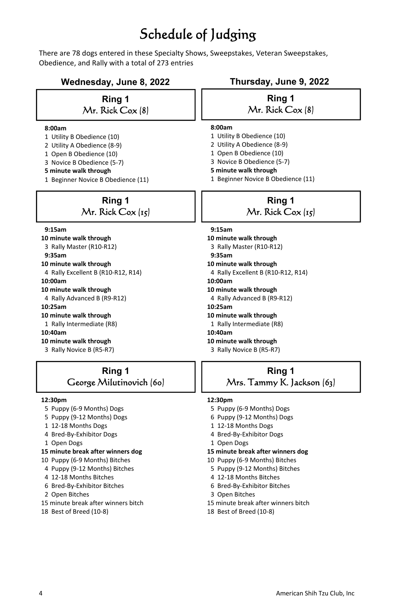### Schedule of Judging

There are 78 dogs entered in these Specialty Shows, Sweepstakes, Veteran Sweepstakes, Obedience, and Rally with a total of 273 entries

### **Wednesday, June 8, 2022 Thursday, June 9, 2022**

### **Ring 1**  Mr. Rick Cox (8)

#### **8:00am**

- 1 Utility B Obedience (10)
- 2 Utility A Obedience (8-9)
- 1 Open B Obedience (10)
- 3 Novice B Obedience (5-7)
- **5 minute walk through**
- 1 Beginner Novice B Obedience (11)

### **Ring 1**  Mr. Rick Cox (15)

#### **9:15am**

- **10 minute walk through**
- 3 Rally Master (R10-R12)
- **9:35am**
- **10 minute walk through**
- 4 Rally Excellent B (R10-R12, R14)
- **10:00am**
- **10 minute walk through**
- 4 Rally Advanced B (R9-R12)
- **10:25am**
- **10 minute walk through**
- 1 Rally Intermediate (R8)

#### **10:40am**

- **10 minute walk through**
- 3 Rally Novice B (R5-R7)

### **Ring 1**  George Milutinovich (60)

#### **12:30pm**

- 5 Puppy (6-9 Months) Dogs
- 5 Puppy (9-12 Months) Dogs
- 1 12-18 Months Dogs
- 4 Bred-By-Exhibitor Dogs
- 1 Open Dogs
- **15 minute break after winners dog**
- 10 Puppy (6-9 Months) Bitches
- 4 Puppy (9-12 Months) Bitches
- 4 12-18 Months Bitches
- 6 Bred-By-Exhibitor Bitches
- 2 Open Bitches
- 15 minute break after winners bitch
- 18 Best of Breed (10-8)

### **Ring 1**  Mr. Rick Cox (8)

### **8:00am**

- 1 Utility B Obedience (10)
- 2 Utility A Obedience (8-9)
- 1 Open B Obedience (10)
- 3 Novice B Obedience (5-7)
- **5 minute walk through**
- 1 Beginner Novice B Obedience (11)

### **Ring 1**  Mr. Rick Cox (15)

- **9:15am**
- **10 minute walk through**
- 3 Rally Master (R10-R12)
- **9:35am 10 minute walk through**
- 
- 4 Rally Excellent B (R10-R12, R14)  **10:00am**
- 
- **10 minute walk through**
- 4 Rally Advanced B (R9-R12)
- **10:25am**
- **10 minute walk through**
- 1 Rally Intermediate (R8)
- **10:40am**
- **10 minute walk through**
- 3 Rally Novice B (R5-R7)

### **Ring 1**  Mrs. Tammy K. Jackson (63)

#### **12:30pm**

- 5 Puppy (6-9 Months) Dogs
- 6 Puppy (9-12 Months) Dogs
- 1 12-18 Months Dogs
- 4 Bred-By-Exhibitor Dogs
- 1 Open Dogs
- **15 minute break after winners dog**
- 10 Puppy (6-9 Months) Bitches
- 5 Puppy (9-12 Months) Bitches
- 4 12-18 Months Bitches
- 6 Bred-By-Exhibitor Bitches
- 3 Open Bitches
- 15 minute break after winners bitch
- 18 Best of Breed (10-8)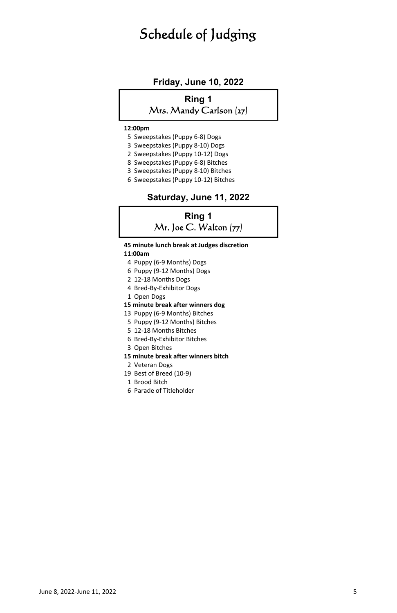### Schedule of Judging

### **Friday, June 10, 2022**

### **Ring 1**  Mrs. Mandy Carlson (27)

#### **12:00pm**

- 5 Sweepstakes (Puppy 6-8) Dogs
- 3 Sweepstakes (Puppy 8-10) Dogs
- 2 Sweepstakes (Puppy 10-12) Dogs
- 8 Sweepstakes (Puppy 6-8) Bitches
- 3 Sweepstakes (Puppy 8-10) Bitches
- 6 Sweepstakes (Puppy 10-12) Bitches

### **Saturday, June 11, 2022**

### **Ring 1**   $Mr.$  Joe C. Walton  $(77)$

 **45 minute lunch break at Judges discretion** 

### **11:00am**

- 4 Puppy (6-9 Months) Dogs
- 6 Puppy (9-12 Months) Dogs
- 2 12-18 Months Dogs
- 4 Bred-By-Exhibitor Dogs
- 1 Open Dogs
- **15 minute break after winners dog**
- 13 Puppy (6-9 Months) Bitches
- 5 Puppy (9-12 Months) Bitches
- 5 12-18 Months Bitches
- 6 Bred-By-Exhibitor Bitches
- 3 Open Bitches

#### **15 minute break after winners bitch**

- 2 Veteran Dogs
- 19 Best of Breed (10-9)
- 1 Brood Bitch
- 6 Parade of Titleholder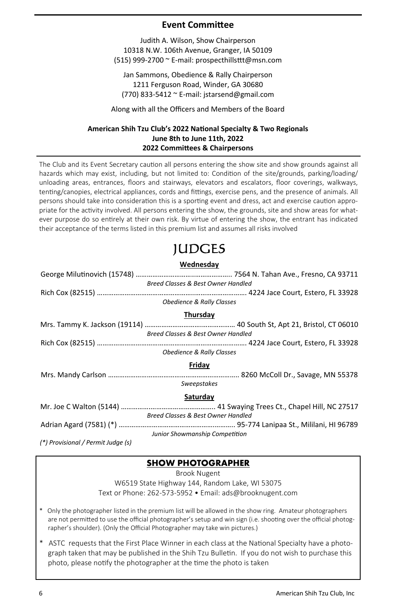### **Event CommiƩee**

Judith A. Wilson, Show Chairperson 10318 N.W. 106th Avenue, Granger, IA 50109 (515) 999-2700 ~ E-mail: prospecthillsttt@msn.com

Jan Sammons, Obedience & Rally Chairperson 1211 Ferguson Road, Winder, GA 30680 (770) 833-5412 ~ E-mail: jstarsend@gmail.com

Along with all the Officers and Members of the Board

### **American Shih Tzu Club's 2022 NaƟonal Specialty & Two Regionals June 8th to June 11th, 2022 2022 CommiƩees & Chairpersons**

The Club and its Event Secretary caution all persons entering the show site and show grounds against all hazards which may exist, including, but not limited to: Condition of the site/grounds, parking/loading/ unloading areas, entrances, floors and stairways, elevators and escalators, floor coverings, walkways, tenting/canopies, electrical appliances, cords and fittings, exercise pens, and the presence of animals. All persons should take into consideration this is a sporting event and dress, act and exercise caution appropriate for the activity involved. All persons entering the show, the grounds, site and show areas for whatever purpose do so entirely at their own risk. By virtue of entering the show, the entrant has indicated their acceptance of the terms listed in this premium list and assumes all risks involved

### JUDGES

### **Wednesday**  George MiluƟnovich (15748) …………………………..……………….. 7564 N. Tahan Ave., Fresno, CA 93711 *Breed Classes & Best Owner Handled*  Rich Cox (82515) ……………………………………………..………………………. 4224 Jace Court, Estero, FL 33928 *Obedience & Rally Classes*  **Thursday**  Mrs. Tammy K. Jackson (19114) ………………………….……………… 40 South St, Apt 21, Bristol, CT 06010 *Breed Classes & Best Owner Handled*  Rich Cox (82515) ……………………………………………..………………………. 4224 Jace Court, Estero, FL 33928 *Obedience & Rally Classes*  **Friday**  Mrs. Mandy Carlson …………………………………………………………….. 8260 McColl Dr., Savage, MN 55378 *Sweepstakes*  **Saturday**  Mr. Joe C Walton (5144) …………….…………………………….. 41 Swaying Trees Ct., Chapel Hill, NC 27517 *Breed Classes & Best Owner Handled*  Adrian Agard (7581) (\*) …………………………………………….……….. 95-774 Lanipaa St., Mililani, HI 96789 *Junior Showmanship Competition (\*) Provisional / Permit Judge (s)*

### **SHOW PHOTOGRAPHER**

Brook Nugent

W6519 State Highway 144, Random Lake, WI 53075 Text or Phone: 262-573-5952 • Email: ads@brooknugent.com

\* Only the photographer listed in the premium list will be allowed in the show ring. Amateur photographers are not permitted to use the official photographer's setup and win sign (i.e. shooting over the official photographer's shoulder). (Only the Official Photographer may take win pictures.)

\* ASTC requests that the First Place Winner in each class at the National Specialty have a photograph taken that may be published in the Shih Tzu Bulletin. If you do not wish to purchase this photo, please notify the photographer at the time the photo is taken.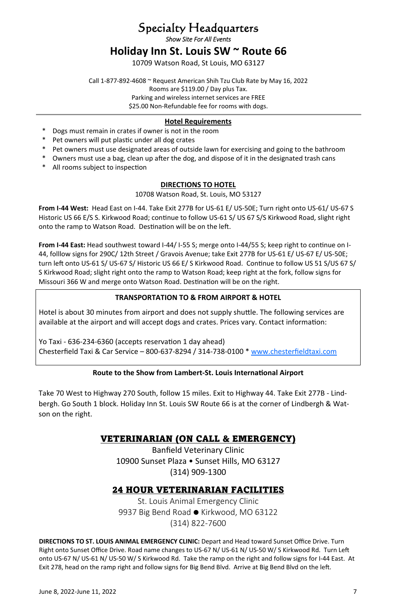### Specialty Headquarters

*Show Site For All Events* 

### **Holiday Inn St. Louis SW ~ Route 66**

10709 Watson Road, St Louis, MO 63127

Call 1-877-892-4608 ~ Request American Shih Tzu Club Rate by May 16, 2022 Rooms are \$119.00 / Day plus Tax. Parking and wireless internet services are FREE

\$25.00 Non-Refundable fee for rooms with dogs.

### **Hotel Requirements**

- \* Dogs must remain in crates if owner is not in the room
- \* Pet owners will put plasƟc under all dog crates
- \* Pet owners must use designated areas of outside lawn for exercising and going to the bathroom
- \* Owners must use a bag, clean up after the dog, and dispose of it in the designated trash cans
- \* All rooms subject to inspection

### **DIRECTIONS TO HOTEL**

10708 Watson Road, St. Louis, MO 53127

**From I-44 West:** Head East on I-44. Take Exit 277B for US-61 E/ US-50E; Turn right onto US-61/ US-67 S Historic US 66 E/S S. Kirkwood Road; continue to follow US-61 S/ US 67 S/S Kirkwood Road, slight right onto the ramp to Watson Road. Destination will be on the left.

From I-44 East: Head southwest toward I-44/ I-55 S; merge onto I-44/55 S; keep right to continue on I-44, folllow signs for 290C/ 12th Street / Gravois Avenue; take Exit 277B for US-61 E/ US-67 E/ US-50E; turn left onto US-61 S/ US-67 S/ Historic US 66 E/ S Kirkwood Road. Continue to follow US 51 S/US 67 S/ S Kirkwood Road; slight right onto the ramp to Watson Road; keep right at the fork, follow signs for Missouri 366 W and merge onto Watson Road. Destination will be on the right.

### **TRANSPORTATION TO & FROM AIRPORT & HOTEL**

Hotel is about 30 minutes from airport and does not supply shuttle. The following services are available at the airport and will accept dogs and crates. Prices vary. Contact information:

Yo Taxi - 636-234-6360 (accepts reservation 1 day ahead) Chesterfield Taxi & Car Service – 800-637-8294 / 314-738-0100 \* www.chesterfieldtaxi.com

### **Route to the Show from Lambert-St. Louis International Airport**

Take 70 West to Highway 270 South, follow 15 miles. Exit to Highway 44. Take Exit 277B - Lindbergh. Go South 1 block. Holiday Inn St. Louis SW Route 66 is at the corner of Lindbergh & Watson on the right.

### VETERINARIAN (ON CALL & EMERGENCY)

Banfield Veterinary Clinic 10900 Sunset Plaza • Sunset Hills, MO 63127 (314) 909-1300

### 24 HOUR VETERINARIAN FACILITIES

St. Louis Animal Emergency Clinic 9937 Big Bend Road • Kirkwood, MO 63122 (314) 822-7600

**DIRECTIONS TO ST. LOUIS ANIMAL EMERGENCY CLINIC:** Depart and Head toward Sunset Office Drive. Turn Right onto Sunset Office Drive. Road name changes to US-67 N/ US-61 N/ US-50 W/ S Kirkwood Rd. Turn Left onto US-67 N/ US-61 N/ US-50 W/ S Kirkwood Rd. Take the ramp on the right and follow signs for I-44 East. At Exit 278, head on the ramp right and follow signs for Big Bend Blvd. Arrive at Big Bend Blvd on the left.